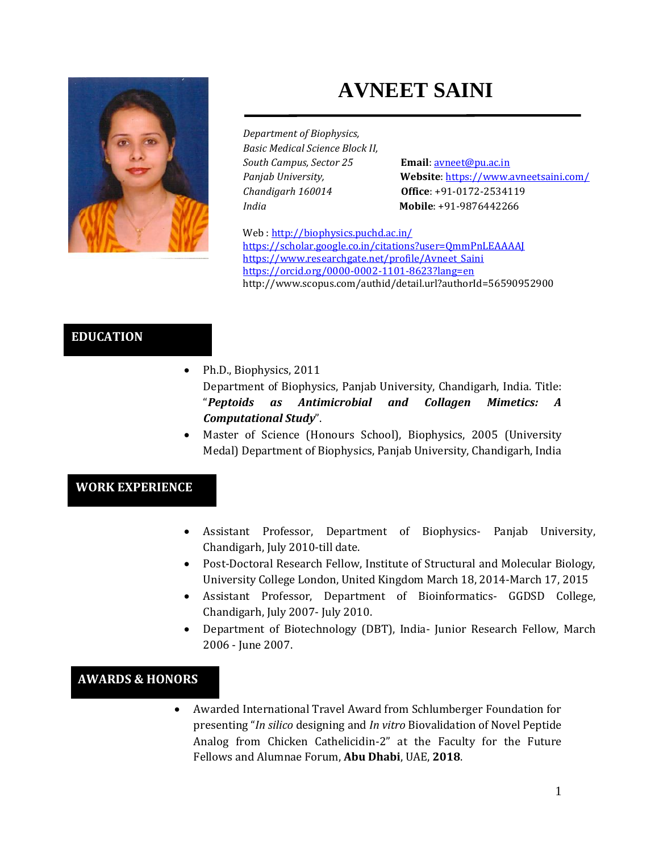# **AVNEET SAINI**



*Department of Biophysics, Basic Medical Science Block II, South Campus, Sector 25* **Email**[: avneet@pu.ac.in](mailto:avneet@pu.ac.in) *Chandigarh 160014* **Office**: +91-0172-2534119 *India* **Mobile**: +91-9876442266

*Panjab University,* **Website**[: https://www.avneetsaini.com/](https://www.avneetsaini.com/)

Web [: http://biophysics.puchd.ac.in/](http://biophysics.puchd.ac.in/) <https://scholar.google.co.in/citations?user=QmmPnLEAAAAJ> [https://www.researchgate.net/profile/Avneet\\_Saini](https://www.researchgate.net/profile/Avneet_Saini) <https://orcid.org/0000-0002-1101-8623?lang=en> http://www.scopus.com/authid/detail.url?authorId=56590952900

# **EDUCATION**

• Ph.D., Biophysics, 2011

Department of Biophysics, Panjab University, Chandigarh, India. Title: "*Peptoids as Antimicrobial and Collagen Mimetics: A Computational Study*".

Master of Science (Honours School), Biophysics, 2005 (University Medal) Department of Biophysics, Panjab University, Chandigarh, India

## **WORK EXPERIENCE**

- Assistant Professor, Department of Biophysics- Panjab University, Chandigarh, July 2010-till date.
- Post-Doctoral Research Fellow, Institute of Structural and Molecular Biology, University College London, United Kingdom March 18, 2014-March 17, 2015
- Assistant Professor, Department of Bioinformatics- GGDSD College, Chandigarh, July 2007- July 2010.
- Department of Biotechnology (DBT), India- Junior Research Fellow, March 2006 - June 2007.

## **AWARDS & HONORS**

• Awarded International Travel Award from Schlumberger Foundation for presenting "*In silico* designing and *In vitro* Biovalidation of Novel Peptide Analog from Chicken Cathelicidin-2" at the Faculty for the Future Fellows and Alumnae Forum, **Abu Dhabi**, UAE, **2018**.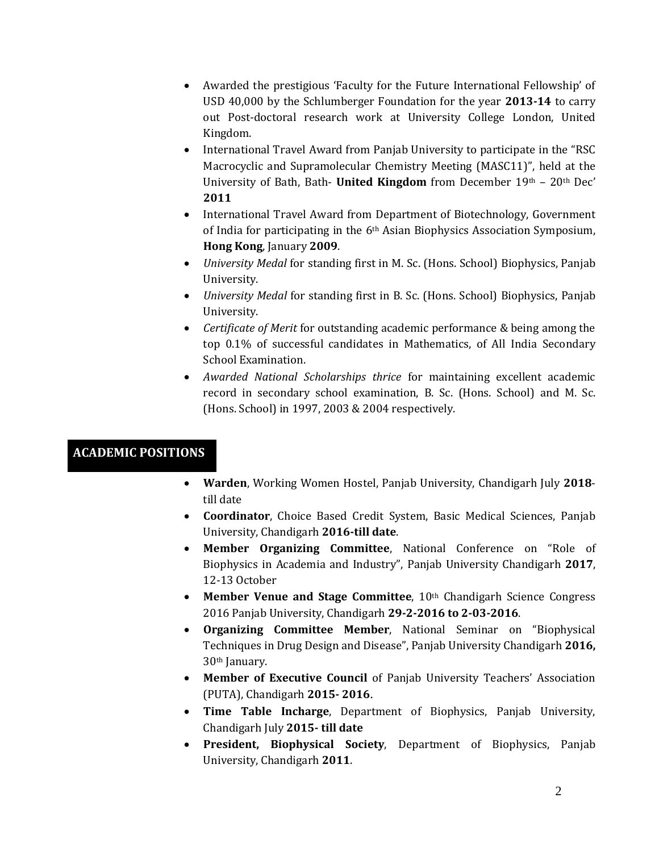- Awarded the prestigious 'Faculty for the Future International Fellowship' of USD 40,000 by the Schlumberger Foundation for the year **2013-14** to carry out Post-doctoral research work at University College London, United Kingdom.
- International Travel Award from Panjab University to participate in the "RSC" Macrocyclic and Supramolecular Chemistry Meeting (MASC11)", held at the University of Bath, Bath- **United Kingdom** from December 19th – 20th Dec' **2011**
- International Travel Award from Department of Biotechnology, Government of India for participating in the 6th Asian Biophysics Association Symposium, **Hong Kong**, January **2009**.
- *University Medal* for standing first in M. Sc. (Hons. School) Biophysics, Panjab University.
- *University Medal* for standing first in B. Sc. (Hons. School) Biophysics, Panjab University.
- *Certificate of Merit* for outstanding academic performance & being among the top 0.1% of successful candidates in Mathematics, of All India Secondary School Examination.
- *Awarded National Scholarships thrice* for maintaining excellent academic record in secondary school examination, B. Sc. (Hons. School) and M. Sc. (Hons. School) in 1997, 2003 & 2004 respectively.

# **ACADEMIC POSITIONS**

- **Warden**, Working Women Hostel, Panjab University, Chandigarh July **2018** till date
- **Coordinator**, Choice Based Credit System, Basic Medical Sciences, Panjab University, Chandigarh **2016-till date**.
- **Member Organizing Committee**, National Conference on "Role of Biophysics in Academia and Industry", Panjab University Chandigarh **2017**, 12-13 October
- Member Venue and Stage Committee, 10<sup>th</sup> Chandigarh Science Congress 2016 Panjab University, Chandigarh **29-2-2016 to 2-03-2016**.
- **Organizing Committee Member**, National Seminar on "Biophysical Techniques in Drug Design and Disease", Panjab University Chandigarh **2016,**  30th January.
- **Member of Executive Council** of Panjab University Teachers' Association (PUTA), Chandigarh **2015- 2016**.
- **Time Table Incharge**, Department of Biophysics, Panjab University, Chandigarh July **2015- till date**
- **President, Biophysical Society**, Department of Biophysics, Panjab University, Chandigarh **2011**.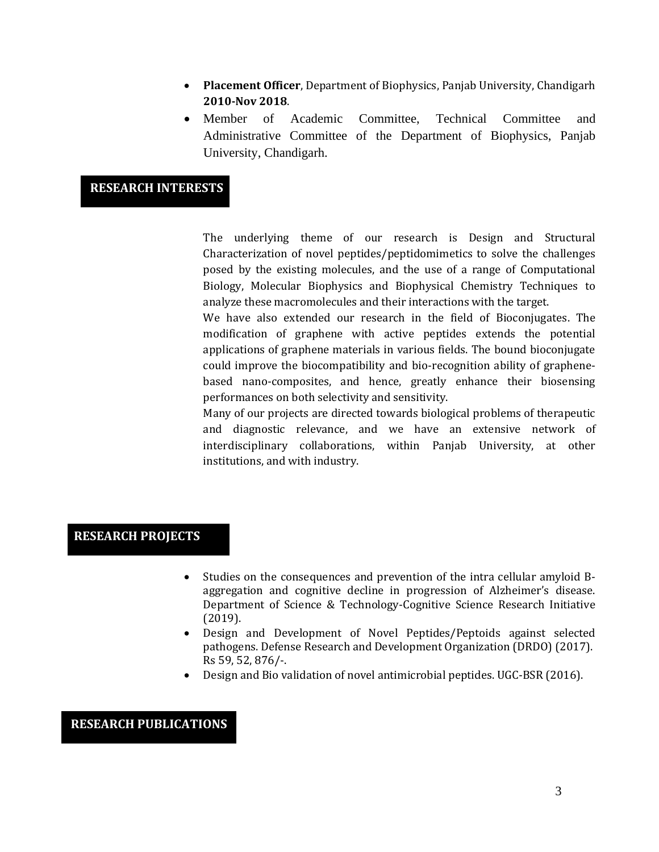- **Placement Officer**, Department of Biophysics, Panjab University, Chandigarh **2010-Nov 2018**.
- Member of Academic Committee, Technical Committee and Administrative Committee of the Department of Biophysics, Panjab University, Chandigarh.

#### **RESEARCH INTERESTS**

The underlying theme of our research is Design and Structural Characterization of novel peptides/peptidomimetics to solve the challenges posed by the existing molecules, and the use of a range of Computational Biology, Molecular Biophysics and Biophysical Chemistry Techniques to analyze these macromolecules and their interactions with the target.

We have also extended our research in the field of Bioconjugates. The modification of graphene with active peptides extends the potential applications of graphene materials in various fields. The bound bioconjugate could improve the biocompatibility and bio-recognition ability of graphenebased nano-composites, and hence, greatly enhance their biosensing performances on both selectivity and sensitivity.

Many of our projects are directed towards biological problems of therapeutic and diagnostic relevance, and we have an extensive network of interdisciplinary collaborations, within Panjab University, at other institutions, and with industry.

## **RESEARCH PROJECTS**

- Studies on the consequences and prevention of the intra cellular amyloid Baggregation and cognitive decline in progression of Alzheimer's disease. Department of Science & Technology-Cognitive Science Research Initiative (2019).
- Design and Development of Novel Peptides/Peptoids against selected pathogens. Defense Research and Development Organization (DRDO) (2017). Rs 59, 52, 876/-.
- Design and Bio validation of novel antimicrobial peptides. UGC-BSR (2016).

## **RESEARCH PUBLICATIONS**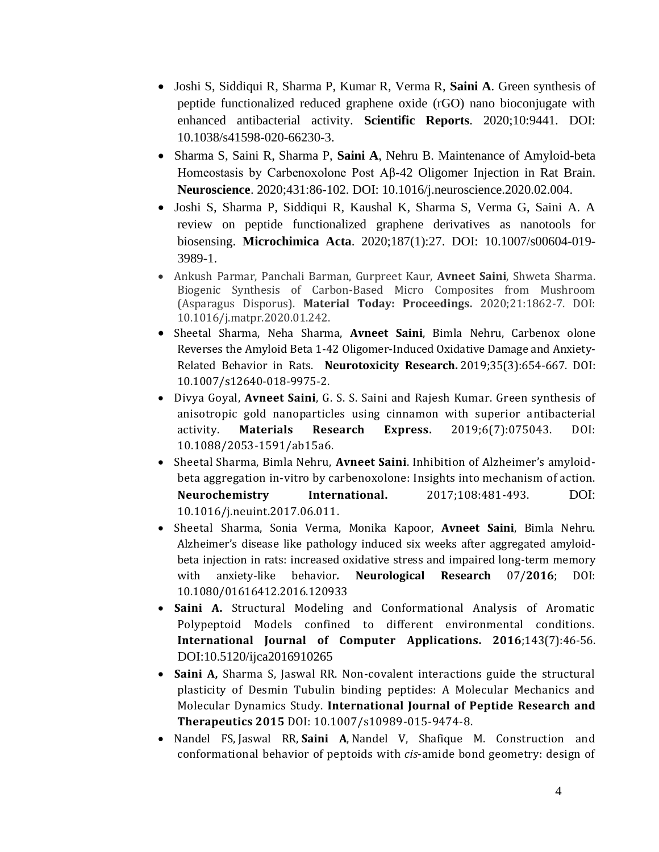- Joshi S, Siddiqui R, Sharma P, Kumar R, Verma R, **Saini A**. Green synthesis of peptide functionalized reduced graphene oxide (rGO) nano bioconjugate with enhanced antibacterial activity. **Scientific Reports**. 2020;10:9441. DOI: 10.1038/s41598-020-66230-3.
- Sharma S, Saini R, Sharma P, **Saini A**, Nehru B. Maintenance of Amyloid-beta Homeostasis by Carbenoxolone Post Aβ-42 Oligomer Injection in Rat Brain. **Neuroscience**. 2020;431:86-102. DOI: 10.1016/j.neuroscience.2020.02.004.
- Joshi S, Sharma P, Siddiqui R, Kaushal K, Sharma S, Verma G, Saini A. A review on peptide functionalized graphene derivatives as nanotools for biosensing. **Microchimica Acta**. 2020;187(1):27. DOI: 10.1007/s00604-019- 3989-1.
- Ankush Parmar, Panchali Barman, Gurpreet Kaur, **Avneet Saini**, Shweta Sharma. Biogenic Synthesis of Carbon-Based Micro Composites from Mushroom (Asparagus Disporus). **Material Today: Proceedings.** 2020;21:1862-7. DOI: 10.1016/j.matpr.2020.01.242.
- Sheetal Sharma, Neha Sharma, **Avneet Saini**, Bimla Nehru, Carbenox olone Reverses the Amyloid Beta 1-42 Oligomer-Induced Oxidative Damage and Anxiety-Related Behavior in Rats. **[Neurotoxicity Research.](https://www.ncbi.nlm.nih.gov/pubmed/30402773)** 2019;35(3):654-667. DOI: 10.1007/s12640-018-9975-2.
- Divya Goyal, **Avneet Saini**, G. S. S. Saini and Rajesh Kumar. Green synthesis of anisotropic gold nanoparticles using cinnamon with superior antibacterial activity. **Materials Research Express.** 2019;6(7):075043. DOI: 10.1088/2053-1591/ab15a6.
- Sheetal Sharma, Bimla Nehru, **Avneet Saini**. Inhibition of Alzheimer's amyloidbeta aggregation in-vitro by carbenoxolone: Insights into mechanism of action. **Neurochemistry International.** 2017;108:481-493. DOI: 10.1016/j.neuint.2017.06.011.
- Sheetal Sharma, Sonia Verma, Monika Kapoor, **Avneet Saini**, Bimla Nehru. Alzheimer's disease like pathology induced six weeks after aggregated amyloidbeta injection in rats: increased oxidative stress and impaired long-term memory with anxiety-like behavior*.* **Neurological Research** 07/**2016**; DOI: 10.1080/01616412.2016.120933
- **Saini A.** Structural Modeling and Conformational Analysis of Aromatic Polypeptoid Models confined to different environmental conditions. **International Journal of Computer Applications. 2016**;143(7):46-56. DOI:10.5120/ijca2016910265
- **Saini A,** Sharma S, Jaswal RR. Non-covalent interactions guide the structural plasticity of Desmin Tubulin binding peptides: A Molecular Mechanics and Molecular Dynamics Study. **International Journal of Peptide Research and Therapeutics 2015** DOI: 10.1007/s10989-015-9474-8.
- Nandel FS, Jaswal RR, **Saini A**, Nandel V, Shafique M. Construction and conformational behavior of peptoids with *cis*-amide bond geometry: design of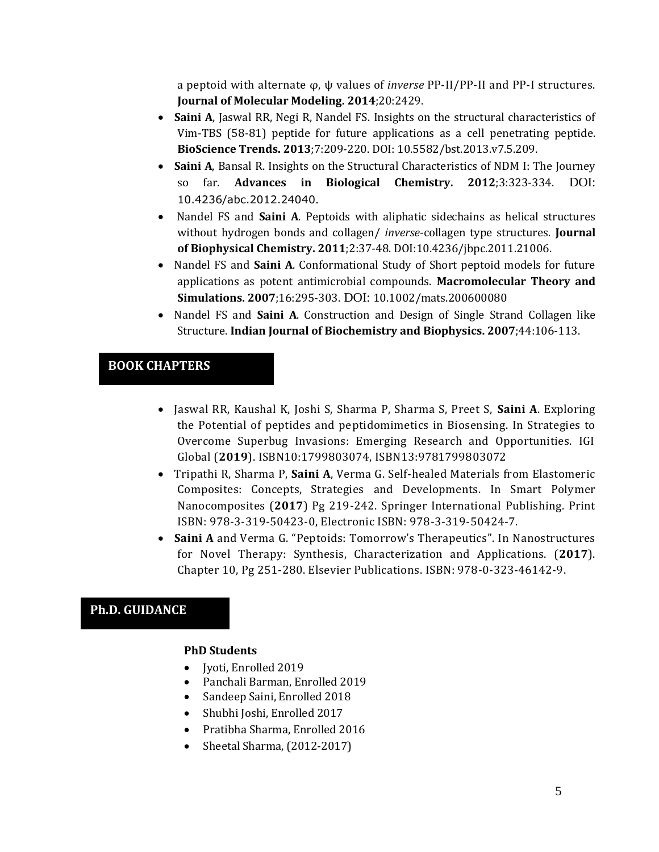a peptoid with alternate φ, ψ values of *inverse* PP-II/PP-II and PP-I structures. **Journal of Molecular Modeling. 2014**;20:2429.

- **Saini A**, Jaswal RR, Negi R, Nandel FS. Insights on the structural characteristics of Vim-TBS (58-81) peptide for future applications as a cell penetrating peptide. **BioScience Trends. 2013**;7:209-220. DOI: 10.5582/bst.2013.v7.5.209.
- **Saini A**, Bansal R. Insights on the Structural Characteristics of NDM I: The Journey so far. **Advances in Biological Chemistry. 2012**;3:323-334. DOI: [10.4236/abc.2012.24040](http://dx.doi.org/10.4236/abc.2012.24040).
- Nandel FS and **Saini A**. Peptoids with aliphatic sidechains as helical structures without hydrogen bonds and collagen/ *inverse*-collagen type structures. **Journal of Biophysical Chemistry. 2011**;2:37-48. DOI:10.4236/jbpc.2011.21006.
- Nandel FS and **Saini A**. Conformational Study of Short peptoid models for future applications as potent antimicrobial compounds. **Macromolecular Theory and Simulations. 2007**;16:295-303. DOI: 10.1002/mats.200600080
- Nandel FS and **Saini A**. Construction and Design of Single Strand Collagen like Structure. **Indian Journal of Biochemistry and Biophysics. 2007**;44:106-113.

## **BOOK CHAPTERS**

- Jaswal RR, Kaushal K, Joshi S, Sharma P, Sharma S, Preet S, **Saini A**. Exploring the Potential of peptides and peptidomimetics in Biosensing. In Strategies to Overcome Superbug Invasions: Emerging Research and Opportunities. IGI Global (**2019**). ISBN10:1799803074, ISBN13:9781799803072
- Tripathi R, Sharma P, **Saini A**, Verma G. Self-healed Materials from Elastomeric Composites: Concepts, Strategies and Developments. In Smart Polymer Nanocomposites (**2017**) Pg 219-242. Springer International Publishing. Print ISBN: 978-3-319-50423-0, Electronic ISBN: 978-3-319-50424-7.
- **Saini A** and Verma G. "Peptoids: Tomorrow's Therapeutics". In Nanostructures for Novel Therapy: Synthesis, Characterization and Applications. (**2017**). Chapter 10, Pg 251-280. Elsevier Publications. ISBN: 978-0-323-46142-9.

# **Ph.D. GUIDANCE**

#### **PhD Students**

- Jyoti, Enrolled 2019
- Panchali Barman, Enrolled 2019
- Sandeep Saini, Enrolled 2018
- Shubhi Joshi, Enrolled 2017
- Pratibha Sharma, Enrolled 2016
- Sheetal Sharma, (2012-2017)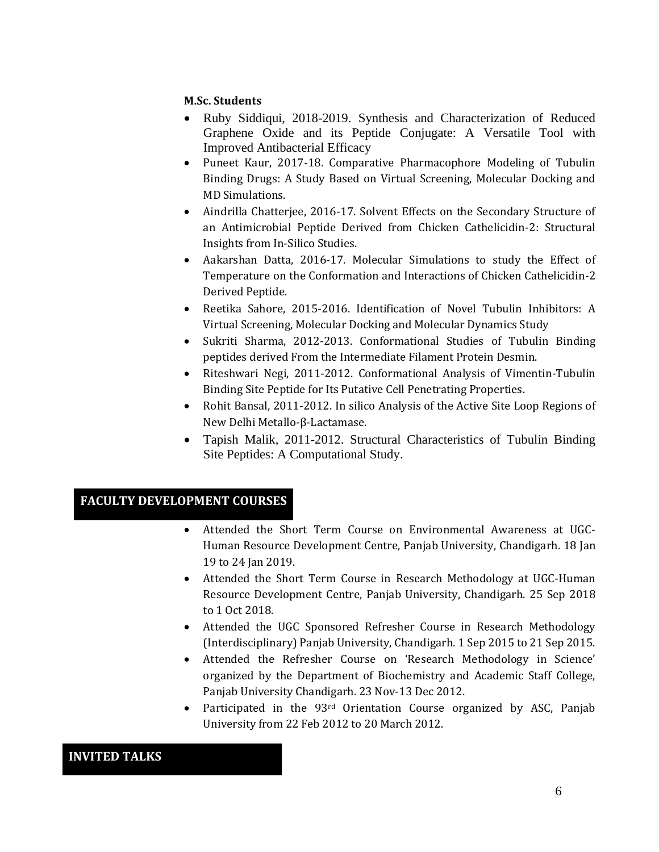#### **M.Sc. Students**

- Ruby Siddiqui, 2018-2019. Synthesis and Characterization of Reduced Graphene Oxide and its Peptide Conjugate: A Versatile Tool with Improved Antibacterial Efficacy
- Puneet Kaur, 2017-18. Comparative Pharmacophore Modeling of Tubulin Binding Drugs: A Study Based on Virtual Screening, Molecular Docking and MD Simulations.
- Aindrilla Chatterjee, 2016-17. Solvent Effects on the Secondary Structure of an Antimicrobial Peptide Derived from Chicken Cathelicidin-2: Structural Insights from In-Silico Studies.
- Aakarshan Datta, 2016-17. Molecular Simulations to study the Effect of Temperature on the Conformation and Interactions of Chicken Cathelicidin-2 Derived Peptide.
- Reetika Sahore, 2015-2016. Identification of Novel Tubulin Inhibitors: A Virtual Screening, Molecular Docking and Molecular Dynamics Study
- Sukriti Sharma, 2012-2013. Conformational Studies of Tubulin Binding peptides derived From the Intermediate Filament Protein Desmin.
- Riteshwari Negi, 2011-2012. Conformational Analysis of Vimentin-Tubulin Binding Site Peptide for Its Putative Cell Penetrating Properties.
- Rohit Bansal, 2011-2012. In silico Analysis of the Active Site Loop Regions of New Delhi Metallo-β-Lactamase.
- Tapish Malik, 2011-2012. Structural Characteristics of Tubulin Binding Site Peptides: A Computational Study.

# **FACULTY DEVELOPMENT COURSES**

- Attended the Short Term Course on Environmental Awareness at UGC-Human Resource Development Centre, Panjab University, Chandigarh. 18 Jan 19 to 24 Jan 2019.
- Attended the Short Term Course in Research Methodology at UGC-Human Resource Development Centre, Panjab University, Chandigarh. 25 Sep 2018 to 1 Oct 2018.
- Attended the UGC Sponsored Refresher Course in Research Methodology (Interdisciplinary) Panjab University, Chandigarh. 1 Sep 2015 to 21 Sep 2015.
- Attended the Refresher Course on 'Research Methodology in Science' organized by the Department of Biochemistry and Academic Staff College, Panjab University Chandigarh. 23 Nov-13 Dec 2012.
- Participated in the 93<sup>rd</sup> Orientation Course organized by ASC, Panjab University from 22 Feb 2012 to 20 March 2012.

# **INVITED TALKS**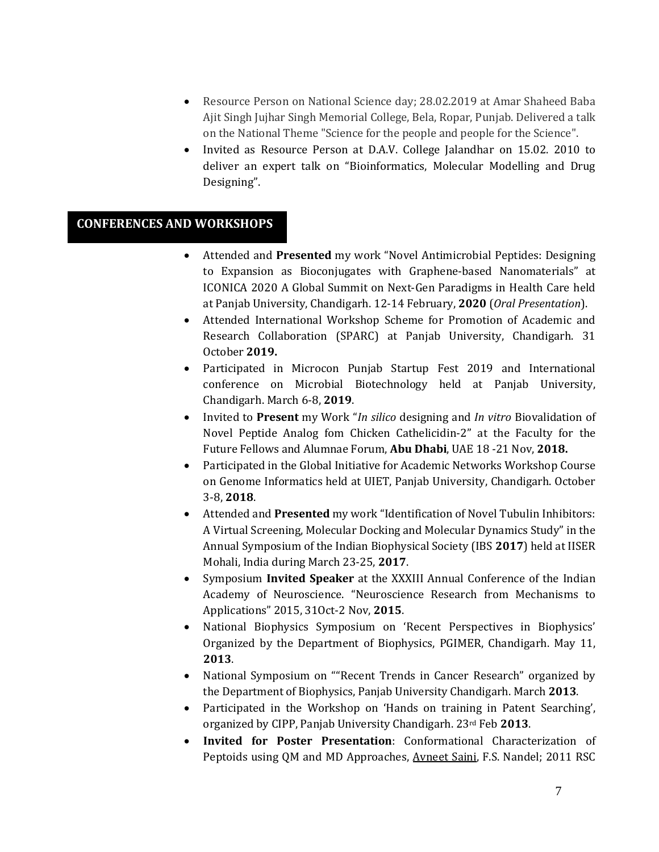- Resource Person on National Science day; 28.02.2019 at Amar Shaheed Baba Ajit Singh Jujhar Singh Memorial College, Bela, Ropar, Punjab. Delivered a talk on the National Theme "Science for the people and people for the Science".
- Invited as Resource Person at D.A.V. College Jalandhar on 15.02. 2010 to deliver an expert talk on "Bioinformatics, Molecular Modelling and Drug Designing".

## **CONFERENCES AND WORKSHOPS**

- Attended and **Presented** my work "Novel Antimicrobial Peptides: Designing to Expansion as Bioconjugates with Graphene-based Nanomaterials" at ICONICA 2020 A Global Summit on Next-Gen Paradigms in Health Care held at Panjab University, Chandigarh. 12-14 February, **2020** (*Oral Presentation*).
- Attended International Workshop Scheme for Promotion of Academic and Research Collaboration (SPARC) at Panjab University, Chandigarh. 31 October **2019.**
- Participated in Microcon Punjab Startup Fest 2019 and International conference on Microbial Biotechnology held at Panjab University, Chandigarh. March 6-8, **2019**.
- Invited to **Present** my Work "*In silico* designing and *In vitro* Biovalidation of Novel Peptide Analog fom Chicken Cathelicidin-2" at the Faculty for the Future Fellows and Alumnae Forum, **Abu Dhabi**, UAE 18 -21 Nov, **2018.**
- Participated in the Global Initiative for Academic Networks Workshop Course on Genome Informatics held at UIET, Panjab University, Chandigarh. October 3-8, **2018**.
- Attended and **Presented** my work "Identification of Novel Tubulin Inhibitors: A Virtual Screening, Molecular Docking and Molecular Dynamics Study" in the Annual Symposium of the Indian Biophysical Society (IBS **2017**) held at IISER Mohali, India during March 23-25, **2017**.
- Symposium **Invited Speaker** at the XXXIII Annual Conference of the Indian Academy of Neuroscience. "Neuroscience Research from Mechanisms to Applications" 2015, 31Oct-2 Nov, **2015**.
- National Biophysics Symposium on 'Recent Perspectives in Biophysics' Organized by the Department of Biophysics, PGIMER, Chandigarh. May 11, **2013**.
- National Symposium on ""Recent Trends in Cancer Research" organized by the Department of Biophysics, Panjab University Chandigarh. March **2013**.
- Participated in the Workshop on 'Hands on training in Patent Searching', organized by CIPP, Panjab University Chandigarh. 23rd Feb **2013**.
- **Invited for Poster Presentation**: Conformational Characterization of Peptoids using QM and MD Approaches, Avneet Saini, F.S. Nandel; 2011 RSC